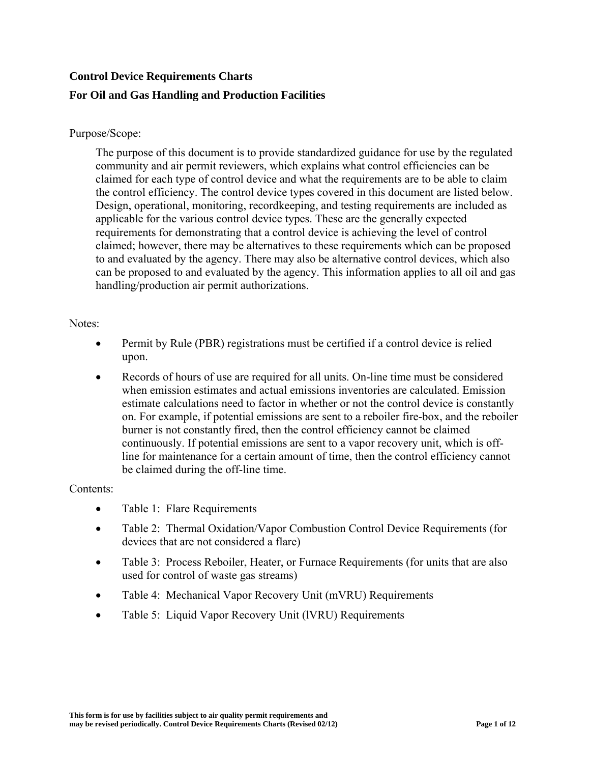# **Control Device Requirements Charts For Oil and Gas Handling and Production Facilities**

### Purpose/Scope:

The purpose of this document is to provide standardized guidance for use by the regulated community and air permit reviewers, which explains what control efficiencies can be claimed for each type of control device and what the requirements are to be able to claim the control efficiency. The control device types covered in this document are listed below. Design, operational, monitoring, recordkeeping, and testing requirements are included as applicable for the various control device types. These are the generally expected requirements for demonstrating that a control device is achieving the level of control claimed; however, there may be alternatives to these requirements which can be proposed to and evaluated by the agency. There may also be alternative control devices, which also can be proposed to and evaluated by the agency. This information applies to all oil and gas handling/production air permit authorizations.

#### Notes:

- Permit by Rule (PBR) registrations must be certified if a control device is relied upon.
- Records of hours of use are required for all units. On-line time must be considered when emission estimates and actual emissions inventories are calculated. Emission estimate calculations need to factor in whether or not the control device is constantly on. For example, if potential emissions are sent to a reboiler fire-box, and the reboiler burner is not constantly fired, then the control efficiency cannot be claimed continuously. If potential emissions are sent to a vapor recovery unit, which is offline for maintenance for a certain amount of time, then the control efficiency cannot be claimed during the off-line time.

#### Contents:

- Table 1: Flare Requirements
- Table 2: Thermal Oxidation/Vapor Combustion Control Device Requirements (for devices that are not considered a flare)
- Table 3: Process Reboiler, Heater, or Furnace Requirements (for units that are also used for control of waste gas streams)
- Table 4: Mechanical Vapor Recovery Unit (mVRU) Requirements
- Table 5: Liquid Vapor Recovery Unit (IVRU) Requirements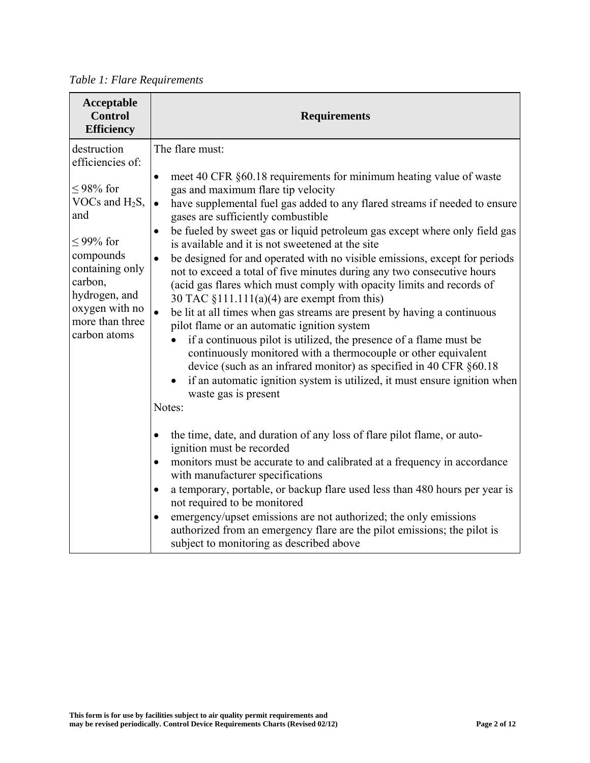*Table 1: Flare Requirements*

| Acceptable<br><b>Control</b><br><b>Efficiency</b>                                                                                                                                                        | <b>Requirements</b>                                                                                                                                                                                                                                                                                                                                                                                                                                                                                                                                                                                                                                                                                                                                                                                                                                                                                                                                                                                                                                                                                                                                                              |
|----------------------------------------------------------------------------------------------------------------------------------------------------------------------------------------------------------|----------------------------------------------------------------------------------------------------------------------------------------------------------------------------------------------------------------------------------------------------------------------------------------------------------------------------------------------------------------------------------------------------------------------------------------------------------------------------------------------------------------------------------------------------------------------------------------------------------------------------------------------------------------------------------------------------------------------------------------------------------------------------------------------------------------------------------------------------------------------------------------------------------------------------------------------------------------------------------------------------------------------------------------------------------------------------------------------------------------------------------------------------------------------------------|
| destruction<br>efficiencies of:<br>≤98% for<br>VOCs and $H_2S$ ,<br>and<br>$< 99\%$ for<br>compounds<br>containing only<br>carbon,<br>hydrogen, and<br>oxygen with no<br>more than three<br>carbon atoms | The flare must:<br>meet 40 CFR §60.18 requirements for minimum heating value of waste<br>$\bullet$<br>gas and maximum flare tip velocity<br>have supplemental fuel gas added to any flared streams if needed to ensure<br>$\bullet$<br>gases are sufficiently combustible<br>be fueled by sweet gas or liquid petroleum gas except where only field gas<br>$\bullet$<br>is available and it is not sweetened at the site<br>be designed for and operated with no visible emissions, except for periods<br>$\bullet$<br>not to exceed a total of five minutes during any two consecutive hours<br>(acid gas flares which must comply with opacity limits and records of<br>30 TAC $\S$ 111.111(a)(4) are exempt from this)<br>be lit at all times when gas streams are present by having a continuous<br>pilot flame or an automatic ignition system<br>if a continuous pilot is utilized, the presence of a flame must be<br>continuously monitored with a thermocouple or other equivalent<br>device (such as an infrared monitor) as specified in 40 CFR §60.18<br>if an automatic ignition system is utilized, it must ensure ignition when<br>waste gas is present<br>Notes: |
|                                                                                                                                                                                                          | the time, date, and duration of any loss of flare pilot flame, or auto-<br>$\bullet$<br>ignition must be recorded<br>monitors must be accurate to and calibrated at a frequency in accordance<br>$\bullet$<br>with manufacturer specifications<br>a temporary, portable, or backup flare used less than 480 hours per year is<br>$\bullet$<br>not required to be monitored<br>emergency/upset emissions are not authorized; the only emissions<br>$\bullet$<br>authorized from an emergency flare are the pilot emissions; the pilot is<br>subject to monitoring as described above                                                                                                                                                                                                                                                                                                                                                                                                                                                                                                                                                                                              |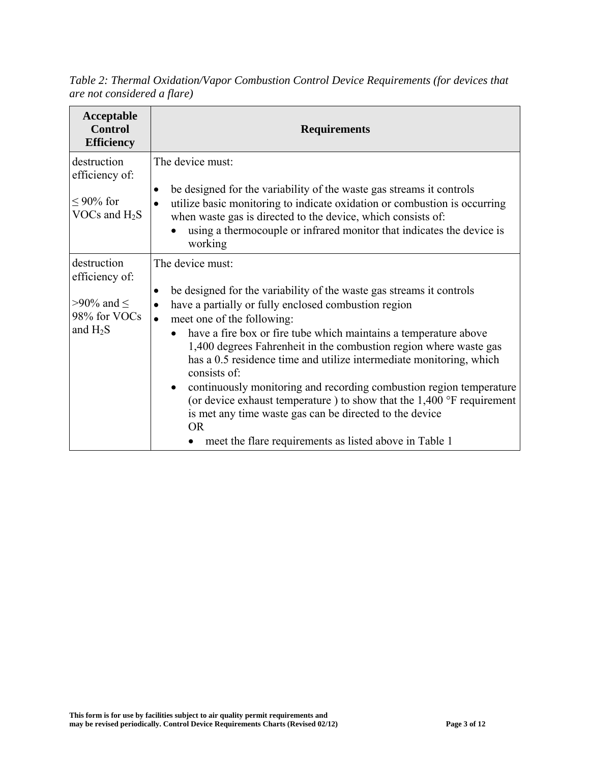*Table 2: Thermal Oxidation/Vapor Combustion Control Device Requirements (for devices that are not considered a flare)* 

| Acceptable<br><b>Control</b><br><b>Efficiency</b>                             | <b>Requirements</b>                                                                                                                                                                                                                                                                                                                                                                                                                                                                                                                                                                                                                                                                                                                                    |
|-------------------------------------------------------------------------------|--------------------------------------------------------------------------------------------------------------------------------------------------------------------------------------------------------------------------------------------------------------------------------------------------------------------------------------------------------------------------------------------------------------------------------------------------------------------------------------------------------------------------------------------------------------------------------------------------------------------------------------------------------------------------------------------------------------------------------------------------------|
| destruction<br>efficiency of:<br>$\leq$ 90% for<br>VOCs and $H_2S$            | The device must:<br>be designed for the variability of the waste gas streams it controls<br>٠<br>utilize basic monitoring to indicate oxidation or combustion is occurring<br>$\bullet$<br>when waste gas is directed to the device, which consists of:<br>using a thermocouple or infrared monitor that indicates the device is<br>working                                                                                                                                                                                                                                                                                                                                                                                                            |
| destruction<br>efficiency of:<br>>90% and $\le$<br>98% for VOCs<br>and $H_2S$ | The device must:<br>be designed for the variability of the waste gas streams it controls<br>$\bullet$<br>have a partially or fully enclosed combustion region<br>$\bullet$<br>meet one of the following:<br>$\bullet$<br>have a fire box or fire tube which maintains a temperature above<br>1,400 degrees Fahrenheit in the combustion region where waste gas<br>has a 0.5 residence time and utilize intermediate monitoring, which<br>consists of:<br>continuously monitoring and recording combustion region temperature<br>$\bullet$<br>(or device exhaust temperature) to show that the $1,400$ °F requirement<br>is met any time waste gas can be directed to the device<br><b>OR</b><br>meet the flare requirements as listed above in Table 1 |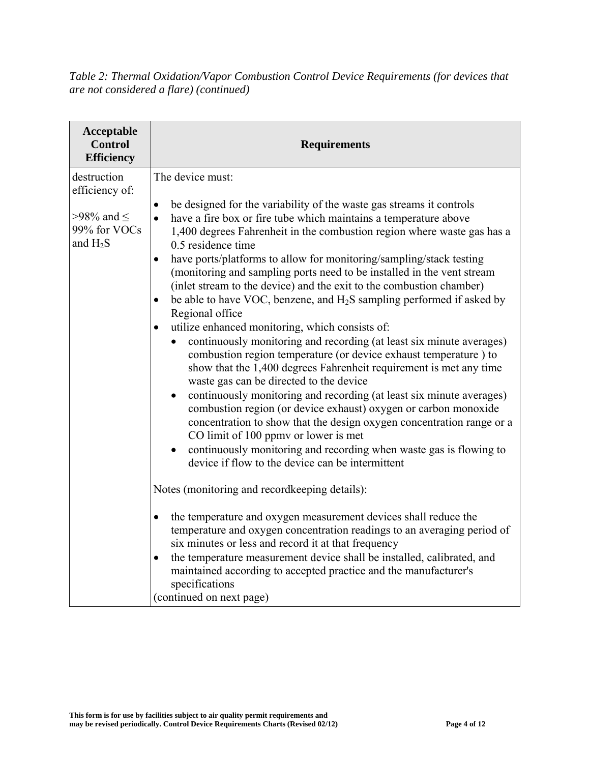*Table 2: Thermal Oxidation/Vapor Combustion Control Device Requirements (for devices that are not considered a flare) (continued)* 

| Acceptable<br><b>Control</b><br><b>Efficiency</b>                             | <b>Requirements</b>                                                                                                                                                                                                                                                                                                                                                                                                                                                                                                                                                                                                                                                                                                                                                                                                                                                                                                                                                                                                                                                                                                                                                                                                                                                                                                                                                                                                                                                                                                                                                                                                                                                                                                                                                                                                |
|-------------------------------------------------------------------------------|--------------------------------------------------------------------------------------------------------------------------------------------------------------------------------------------------------------------------------------------------------------------------------------------------------------------------------------------------------------------------------------------------------------------------------------------------------------------------------------------------------------------------------------------------------------------------------------------------------------------------------------------------------------------------------------------------------------------------------------------------------------------------------------------------------------------------------------------------------------------------------------------------------------------------------------------------------------------------------------------------------------------------------------------------------------------------------------------------------------------------------------------------------------------------------------------------------------------------------------------------------------------------------------------------------------------------------------------------------------------------------------------------------------------------------------------------------------------------------------------------------------------------------------------------------------------------------------------------------------------------------------------------------------------------------------------------------------------------------------------------------------------------------------------------------------------|
| destruction<br>efficiency of:<br>>98% and $\le$<br>99% for VOCs<br>and $H_2S$ | The device must:<br>be designed for the variability of the waste gas streams it controls<br>٠<br>have a fire box or fire tube which maintains a temperature above<br>$\bullet$<br>1,400 degrees Fahrenheit in the combustion region where waste gas has a<br>0.5 residence time<br>have ports/platforms to allow for monitoring/sampling/stack testing<br>$\bullet$<br>(monitoring and sampling ports need to be installed in the vent stream<br>(inlet stream to the device) and the exit to the combustion chamber)<br>be able to have VOC, benzene, and $H_2S$ sampling performed if asked by<br>Regional office<br>utilize enhanced monitoring, which consists of:<br>continuously monitoring and recording (at least six minute averages)<br>combustion region temperature (or device exhaust temperature) to<br>show that the 1,400 degrees Fahrenheit requirement is met any time<br>waste gas can be directed to the device<br>continuously monitoring and recording (at least six minute averages)<br>$\bullet$<br>combustion region (or device exhaust) oxygen or carbon monoxide<br>concentration to show that the design oxygen concentration range or a<br>CO limit of 100 ppmy or lower is met<br>continuously monitoring and recording when waste gas is flowing to<br>$\bullet$<br>device if flow to the device can be intermittent<br>Notes (monitoring and recordkeeping details):<br>the temperature and oxygen measurement devices shall reduce the<br>$\bullet$<br>temperature and oxygen concentration readings to an averaging period of<br>six minutes or less and record it at that frequency<br>the temperature measurement device shall be installed, calibrated, and<br>maintained according to accepted practice and the manufacturer's<br>specifications<br>(continued on next page) |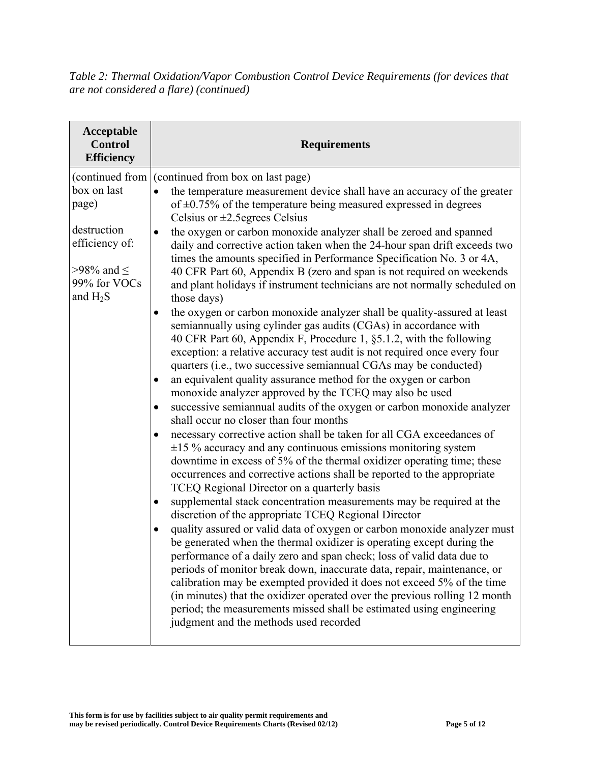*Table 2: Thermal Oxidation/Vapor Combustion Control Device Requirements (for devices that are not considered a flare) (continued)* 

| Acceptable<br><b>Control</b><br><b>Efficiency</b>                                                                        | <b>Requirements</b>                                                                                                                                                                                                                                                                                                                                                                                                                                                                                                                                                                                                                                                                                                                                                                                                                                                                                                                                                                                                                                                                                                                                                                                                                                                                                                                                                                                                                                                                                                                                                                                                                                                                                                                                                                                                                                                                                                                                                                                                                                                                                                                                                                                                                                                                                                                                            |
|--------------------------------------------------------------------------------------------------------------------------|----------------------------------------------------------------------------------------------------------------------------------------------------------------------------------------------------------------------------------------------------------------------------------------------------------------------------------------------------------------------------------------------------------------------------------------------------------------------------------------------------------------------------------------------------------------------------------------------------------------------------------------------------------------------------------------------------------------------------------------------------------------------------------------------------------------------------------------------------------------------------------------------------------------------------------------------------------------------------------------------------------------------------------------------------------------------------------------------------------------------------------------------------------------------------------------------------------------------------------------------------------------------------------------------------------------------------------------------------------------------------------------------------------------------------------------------------------------------------------------------------------------------------------------------------------------------------------------------------------------------------------------------------------------------------------------------------------------------------------------------------------------------------------------------------------------------------------------------------------------------------------------------------------------------------------------------------------------------------------------------------------------------------------------------------------------------------------------------------------------------------------------------------------------------------------------------------------------------------------------------------------------------------------------------------------------------------------------------------------------|
| (continued from<br>box on last<br>page)<br>destruction<br>efficiency of:<br>>98% and $\le$<br>99% for VOCs<br>and $H_2S$ | (continued from box on last page)<br>the temperature measurement device shall have an accuracy of the greater<br>$\bullet$<br>of $\pm$ 0.75% of the temperature being measured expressed in degrees<br>Celsius or $\pm 2.5$ egrees Celsius<br>the oxygen or carbon monoxide analyzer shall be zeroed and spanned<br>٠<br>daily and corrective action taken when the 24-hour span drift exceeds two<br>times the amounts specified in Performance Specification No. 3 or 4A,<br>40 CFR Part 60, Appendix B (zero and span is not required on weekends<br>and plant holidays if instrument technicians are not normally scheduled on<br>those days)<br>the oxygen or carbon monoxide analyzer shall be quality-assured at least<br>semiannually using cylinder gas audits (CGAs) in accordance with<br>40 CFR Part 60, Appendix F, Procedure 1, §5.1.2, with the following<br>exception: a relative accuracy test audit is not required once every four<br>quarters (i.e., two successive semiannual CGAs may be conducted)<br>an equivalent quality assurance method for the oxygen or carbon<br>monoxide analyzer approved by the TCEQ may also be used<br>successive semiannual audits of the oxygen or carbon monoxide analyzer<br>shall occur no closer than four months<br>necessary corrective action shall be taken for all CGA exceedances of<br>$\bullet$<br>$\pm 15$ % accuracy and any continuous emissions monitoring system<br>downtime in excess of 5% of the thermal oxidizer operating time; these<br>occurrences and corrective actions shall be reported to the appropriate<br>TCEQ Regional Director on a quarterly basis<br>supplemental stack concentration measurements may be required at the<br>discretion of the appropriate TCEQ Regional Director<br>quality assured or valid data of oxygen or carbon monoxide analyzer must<br>be generated when the thermal oxidizer is operating except during the<br>performance of a daily zero and span check; loss of valid data due to<br>periods of monitor break down, inaccurate data, repair, maintenance, or<br>calibration may be exempted provided it does not exceed 5% of the time<br>(in minutes) that the oxidizer operated over the previous rolling 12 month<br>period; the measurements missed shall be estimated using engineering<br>judgment and the methods used recorded |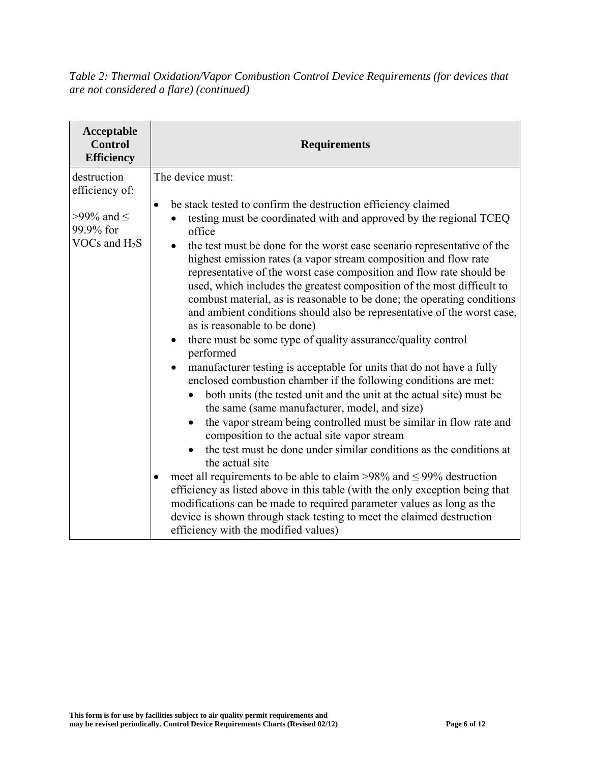*Table 2: Thermal Oxidation/Vapor Combustion Control Device Requirements (for devices that are not considered a flare) (continued)* 

| Acceptable<br><b>Control</b><br><b>Efficiency</b>                               | <b>Requirements</b>                                                                                                                                                                                                                                                                                                                                                                                                                                                                                                                                                                                                                                                                                                                                                                                                                                                                                                                                                                                                                                                                                                                                                                                                                                                                                                                                                                                                                                                                                                                                                                                                                   |
|---------------------------------------------------------------------------------|---------------------------------------------------------------------------------------------------------------------------------------------------------------------------------------------------------------------------------------------------------------------------------------------------------------------------------------------------------------------------------------------------------------------------------------------------------------------------------------------------------------------------------------------------------------------------------------------------------------------------------------------------------------------------------------------------------------------------------------------------------------------------------------------------------------------------------------------------------------------------------------------------------------------------------------------------------------------------------------------------------------------------------------------------------------------------------------------------------------------------------------------------------------------------------------------------------------------------------------------------------------------------------------------------------------------------------------------------------------------------------------------------------------------------------------------------------------------------------------------------------------------------------------------------------------------------------------------------------------------------------------|
| destruction<br>efficiency of:<br>>99% and $\le$<br>99.9% for<br>VOCs and $H_2S$ | The device must:<br>be stack tested to confirm the destruction efficiency claimed<br>$\bullet$<br>testing must be coordinated with and approved by the regional TCEQ<br>office<br>the test must be done for the worst case scenario representative of the<br>$\bullet$<br>highest emission rates (a vapor stream composition and flow rate<br>representative of the worst case composition and flow rate should be<br>used, which includes the greatest composition of the most difficult to<br>combust material, as is reasonable to be done; the operating conditions<br>and ambient conditions should also be representative of the worst case,<br>as is reasonable to be done)<br>there must be some type of quality assurance/quality control<br>$\bullet$<br>performed<br>manufacturer testing is acceptable for units that do not have a fully<br>enclosed combustion chamber if the following conditions are met:<br>both units (the tested unit and the unit at the actual site) must be<br>the same (same manufacturer, model, and size)<br>the vapor stream being controlled must be similar in flow rate and<br>$\bullet$<br>composition to the actual site vapor stream<br>the test must be done under similar conditions as the conditions at<br>the actual site<br>meet all requirements to be able to claim >98% and $\leq$ 99% destruction<br>efficiency as listed above in this table (with the only exception being that<br>modifications can be made to required parameter values as long as the<br>device is shown through stack testing to meet the claimed destruction<br>efficiency with the modified values) |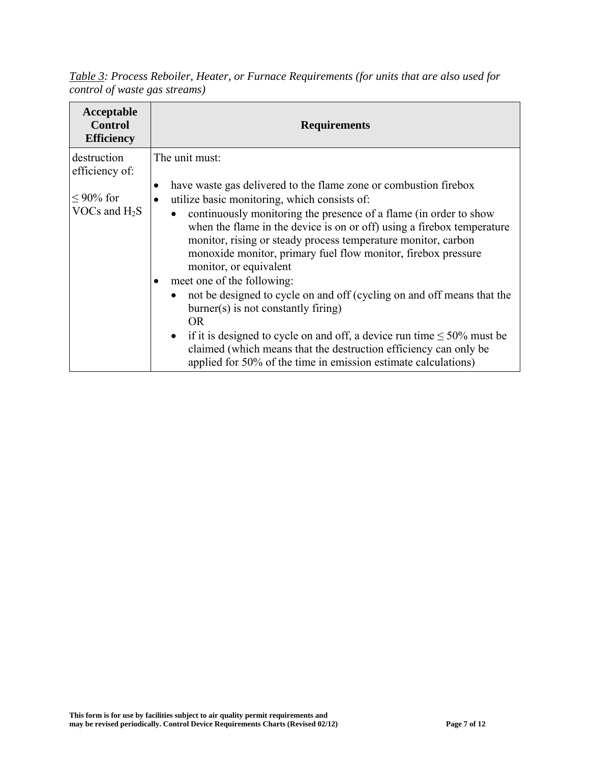*Table 3: Process Reboiler, Heater, or Furnace Requirements (for units that are also used for control of waste gas streams)* 

| Acceptable<br><b>Control</b><br><b>Efficiency</b> | <b>Requirements</b>                                                                                                                                                                                                                                                                                                                                                                                                                                                                                                                                                                                                                                                                                                                                                                                                           |
|---------------------------------------------------|-------------------------------------------------------------------------------------------------------------------------------------------------------------------------------------------------------------------------------------------------------------------------------------------------------------------------------------------------------------------------------------------------------------------------------------------------------------------------------------------------------------------------------------------------------------------------------------------------------------------------------------------------------------------------------------------------------------------------------------------------------------------------------------------------------------------------------|
| destruction<br>efficiency of:                     | The unit must:                                                                                                                                                                                                                                                                                                                                                                                                                                                                                                                                                                                                                                                                                                                                                                                                                |
| $\leq$ 90% for<br>VOCs and $H_2S$                 | have waste gas delivered to the flame zone or combustion firebox<br>٠<br>utilize basic monitoring, which consists of:<br>continuously monitoring the presence of a flame (in order to show<br>$\bullet$<br>when the flame in the device is on or off) using a firebox temperature<br>monitor, rising or steady process temperature monitor, carbon<br>monoxide monitor, primary fuel flow monitor, firebox pressure<br>monitor, or equivalent<br>meet one of the following:<br>not be designed to cycle on and off (cycling on and off means that the<br>$burner(s)$ is not constantly firing)<br>OR.<br>• if it is designed to cycle on and off, a device run time $\leq 50\%$ must be<br>claimed (which means that the destruction efficiency can only be<br>applied for 50% of the time in emission estimate calculations) |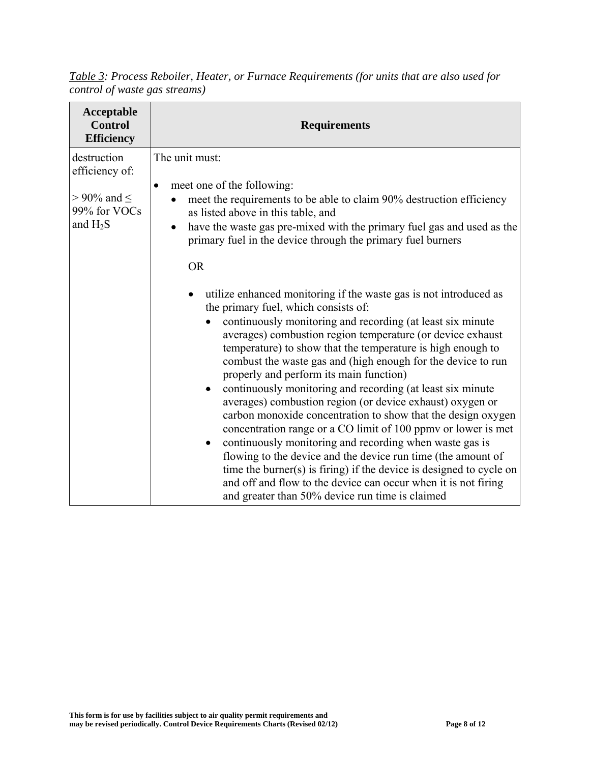*Table 3: Process Reboiler, Heater, or Furnace Requirements (for units that are also used for control of waste gas streams)* 

| Acceptable<br><b>Control</b><br><b>Efficiency</b>                                 | <b>Requirements</b>                                                                                                                                                                                                                                                                                                                                                                                                                                                                                                                                                                                                                                                                                                                                                                                                                                                                                                                                                                                                         |
|-----------------------------------------------------------------------------------|-----------------------------------------------------------------------------------------------------------------------------------------------------------------------------------------------------------------------------------------------------------------------------------------------------------------------------------------------------------------------------------------------------------------------------------------------------------------------------------------------------------------------------------------------------------------------------------------------------------------------------------------------------------------------------------------------------------------------------------------------------------------------------------------------------------------------------------------------------------------------------------------------------------------------------------------------------------------------------------------------------------------------------|
| destruction<br>efficiency of:<br>$> 90\%$ and $\le$<br>99% for VOCs<br>and $H_2S$ | The unit must:<br>meet one of the following:<br>$\bullet$<br>meet the requirements to be able to claim 90% destruction efficiency<br>as listed above in this table, and<br>have the waste gas pre-mixed with the primary fuel gas and used as the<br>$\bullet$<br>primary fuel in the device through the primary fuel burners<br><b>OR</b>                                                                                                                                                                                                                                                                                                                                                                                                                                                                                                                                                                                                                                                                                  |
|                                                                                   | utilize enhanced monitoring if the waste gas is not introduced as<br>$\bullet$<br>the primary fuel, which consists of:<br>continuously monitoring and recording (at least six minute<br>averages) combustion region temperature (or device exhaust<br>temperature) to show that the temperature is high enough to<br>combust the waste gas and (high enough for the device to run<br>properly and perform its main function)<br>continuously monitoring and recording (at least six minute<br>averages) combustion region (or device exhaust) oxygen or<br>carbon monoxide concentration to show that the design oxygen<br>concentration range or a CO limit of 100 ppm or lower is met<br>continuously monitoring and recording when waste gas is<br>$\bullet$<br>flowing to the device and the device run time (the amount of<br>time the burner(s) is firing) if the device is designed to cycle on<br>and off and flow to the device can occur when it is not firing<br>and greater than 50% device run time is claimed |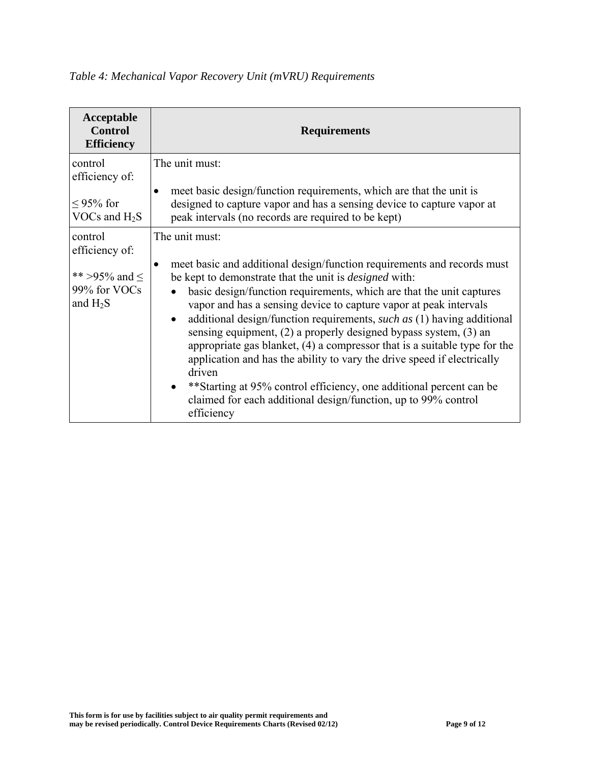| Acceptable<br><b>Control</b><br><b>Efficiency</b>                            | <b>Requirements</b>                                                                                                                                                                                                                                                                                                                                                                                                                                                                                                                                                                                                                                                                                                                                                                                |
|------------------------------------------------------------------------------|----------------------------------------------------------------------------------------------------------------------------------------------------------------------------------------------------------------------------------------------------------------------------------------------------------------------------------------------------------------------------------------------------------------------------------------------------------------------------------------------------------------------------------------------------------------------------------------------------------------------------------------------------------------------------------------------------------------------------------------------------------------------------------------------------|
| control<br>efficiency of:<br>$\leq$ 95% for<br>VOCs and $H_2S$               | The unit must:<br>meet basic design/function requirements, which are that the unit is<br>$\bullet$<br>designed to capture vapor and has a sensing device to capture vapor at<br>peak intervals (no records are required to be kept)                                                                                                                                                                                                                                                                                                                                                                                                                                                                                                                                                                |
| control<br>efficiency of:<br>** >95% and $\le$<br>99% for VOCs<br>and $H_2S$ | The unit must:<br>meet basic and additional design/function requirements and records must<br>be kept to demonstrate that the unit is <i>designed</i> with:<br>basic design/function requirements, which are that the unit captures<br>vapor and has a sensing device to capture vapor at peak intervals<br>additional design/function requirements, such as (1) having additional<br>$\bullet$<br>sensing equipment, $(2)$ a properly designed bypass system, $(3)$ and<br>appropriate gas blanket, $(4)$ a compressor that is a suitable type for the<br>application and has the ability to vary the drive speed if electrically<br>driven<br>**Starting at 95% control efficiency, one additional percent can be<br>claimed for each additional design/function, up to 99% control<br>efficiency |

## *Table 4: Mechanical Vapor Recovery Unit (mVRU) Requirements*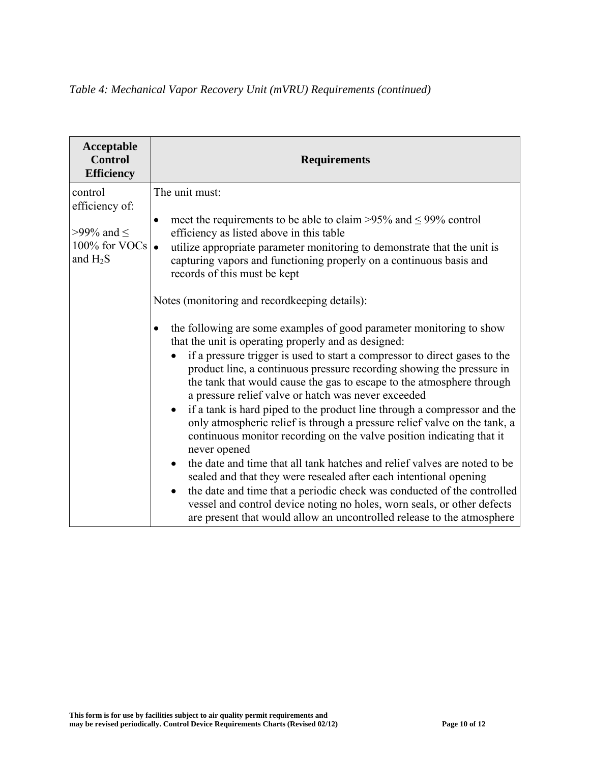## *Table 4: Mechanical Vapor Recovery Unit (mVRU) Requirements (continued)*

| Acceptable<br><b>Control</b><br><b>Efficiency</b>                                    | <b>Requirements</b>                                                                                                                                                                                                                                                                                                                                                                                                                                                                                                                                                                                                                                                                                                                                                                                                                                                                                                                                                                                                                                                                                                                                                                                                                                                                                                                                                                                                                                                            |
|--------------------------------------------------------------------------------------|--------------------------------------------------------------------------------------------------------------------------------------------------------------------------------------------------------------------------------------------------------------------------------------------------------------------------------------------------------------------------------------------------------------------------------------------------------------------------------------------------------------------------------------------------------------------------------------------------------------------------------------------------------------------------------------------------------------------------------------------------------------------------------------------------------------------------------------------------------------------------------------------------------------------------------------------------------------------------------------------------------------------------------------------------------------------------------------------------------------------------------------------------------------------------------------------------------------------------------------------------------------------------------------------------------------------------------------------------------------------------------------------------------------------------------------------------------------------------------|
| control<br>efficiency of:<br>>99% and $\le$<br>100% for VOCs $\bullet$<br>and $H_2S$ | The unit must:<br>meet the requirements to be able to claim >95% and $\leq$ 99% control<br>$\bullet$<br>efficiency as listed above in this table<br>utilize appropriate parameter monitoring to demonstrate that the unit is<br>capturing vapors and functioning properly on a continuous basis and<br>records of this must be kept<br>Notes (monitoring and recordkeeping details):<br>the following are some examples of good parameter monitoring to show<br>٠<br>that the unit is operating properly and as designed:<br>if a pressure trigger is used to start a compressor to direct gases to the<br>product line, a continuous pressure recording showing the pressure in<br>the tank that would cause the gas to escape to the atmosphere through<br>a pressure relief valve or hatch was never exceeded<br>if a tank is hard piped to the product line through a compressor and the<br>$\bullet$<br>only atmospheric relief is through a pressure relief valve on the tank, a<br>continuous monitor recording on the valve position indicating that it<br>never opened<br>the date and time that all tank hatches and relief valves are noted to be<br>$\bullet$<br>sealed and that they were resealed after each intentional opening<br>the date and time that a periodic check was conducted of the controlled<br>vessel and control device noting no holes, worn seals, or other defects<br>are present that would allow an uncontrolled release to the atmosphere |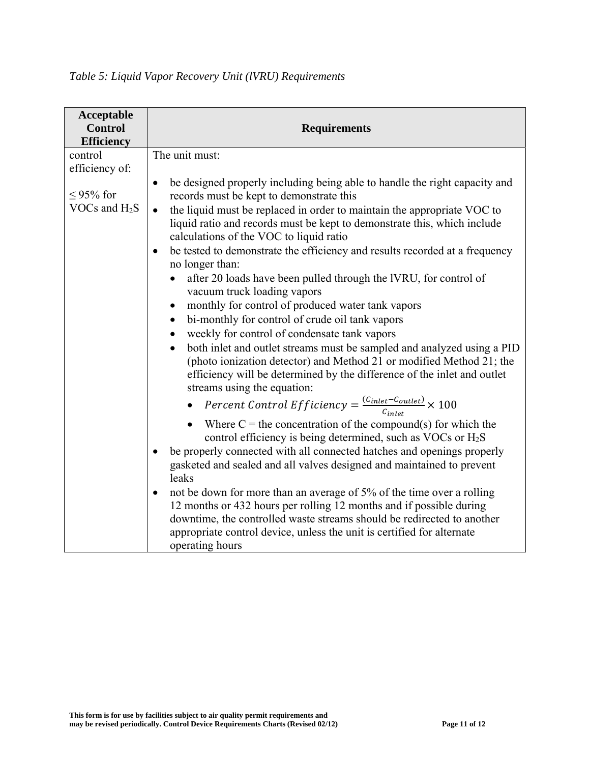| Acceptable<br><b>Control</b><br><b>Efficiency</b> | <b>Requirements</b>                                                                                                                                                                                                                                                                                                                                                                                                                                                                                                                                                                                                                                                                                                                                                                                                                                                                                                                                                                                                                                                                                                                                                                                                                                                                                                                                                                                                                                                                                                                                                                                                                                                                                                            |
|---------------------------------------------------|--------------------------------------------------------------------------------------------------------------------------------------------------------------------------------------------------------------------------------------------------------------------------------------------------------------------------------------------------------------------------------------------------------------------------------------------------------------------------------------------------------------------------------------------------------------------------------------------------------------------------------------------------------------------------------------------------------------------------------------------------------------------------------------------------------------------------------------------------------------------------------------------------------------------------------------------------------------------------------------------------------------------------------------------------------------------------------------------------------------------------------------------------------------------------------------------------------------------------------------------------------------------------------------------------------------------------------------------------------------------------------------------------------------------------------------------------------------------------------------------------------------------------------------------------------------------------------------------------------------------------------------------------------------------------------------------------------------------------------|
| control<br>efficiency of:                         | The unit must:                                                                                                                                                                                                                                                                                                                                                                                                                                                                                                                                                                                                                                                                                                                                                                                                                                                                                                                                                                                                                                                                                                                                                                                                                                                                                                                                                                                                                                                                                                                                                                                                                                                                                                                 |
| ≤95% for<br>VOCs and $H_2S$                       | be designed properly including being able to handle the right capacity and<br>$\bullet$<br>records must be kept to demonstrate this<br>the liquid must be replaced in order to maintain the appropriate VOC to<br>liquid ratio and records must be kept to demonstrate this, which include<br>calculations of the VOC to liquid ratio<br>be tested to demonstrate the efficiency and results recorded at a frequency<br>no longer than:<br>after 20 loads have been pulled through the IVRU, for control of<br>vacuum truck loading vapors<br>monthly for control of produced water tank vapors<br>$\bullet$<br>bi-monthly for control of crude oil tank vapors<br>$\bullet$<br>weekly for control of condensate tank vapors<br>both inlet and outlet streams must be sampled and analyzed using a PID<br>$\bullet$<br>(photo ionization detector) and Method 21 or modified Method 21; the<br>efficiency will be determined by the difference of the inlet and outlet<br>streams using the equation:<br>Percent Control Efficiency = $\frac{(C_{inlet} - C_{outlet})}{C_{inlet}} \times 100$<br>Where $C =$ the concentration of the compound(s) for which the<br>control efficiency is being determined, such as VOCs or H <sub>2</sub> S<br>be properly connected with all connected hatches and openings properly<br>gasketed and sealed and all valves designed and maintained to prevent<br>leaks<br>not be down for more than an average of 5% of the time over a rolling<br>12 months or 432 hours per rolling 12 months and if possible during<br>downtime, the controlled waste streams should be redirected to another<br>appropriate control device, unless the unit is certified for alternate<br>operating hours |